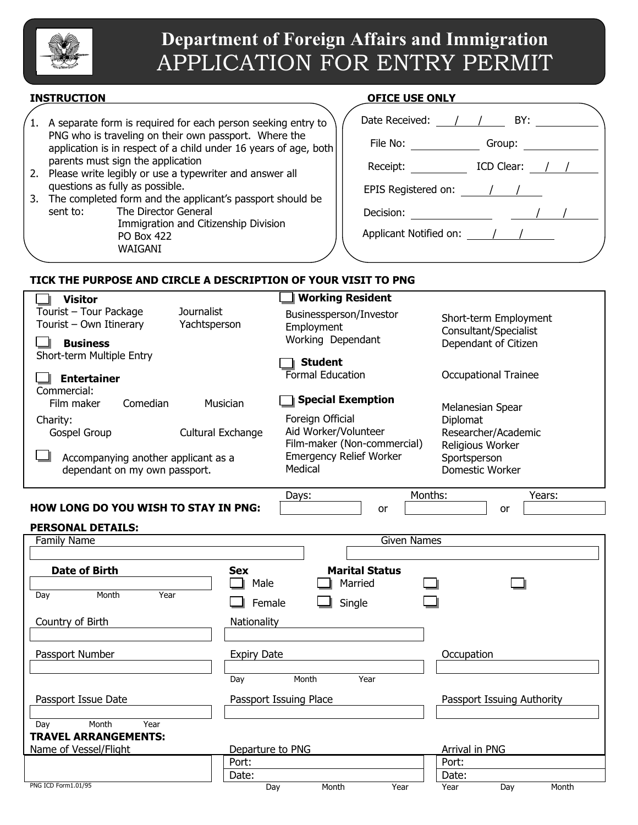

# **Department of Foreign Affairs and Immigration**  APPLICATION FOR ENTRY PERMIT

- 1. A separate form is required for each person seeking entry to PNG who is traveling on their own passport. Where the application is in respect of a child under 16 years of age, both parents must sign the application
- 2. Please write legibly or use a typewriter and answer all questions as fully as possible.
- 3. The completed form and the applicant's passport should be sent to: The Director General Immigration and Citizenship Division PO Box 422 WAIGANI

# **INSTRUCTION OFICE USE ONLY**

| Date Received:                                       | $\frac{1}{2}$<br>BY:     |
|------------------------------------------------------|--------------------------|
| File No: $\qquad \qquad$                             |                          |
| Receipt: $\frac{1}{2}$                               | ICD Clear: $\frac{1}{1}$ |
| EPIS Registered on: $\frac{1}{\sqrt{1-\frac{1}{2}}}$ |                          |
| Decision:                                            |                          |
| Applicant Notified on: / /                           |                          |
|                                                      |                          |

# **TICK THE PURPOSE AND CIRCLE A DESCRIPTION OF YOUR VISIT TO PNG**

| <b>Visitor</b>                              | <b>Working Resident</b>                   |                             |
|---------------------------------------------|-------------------------------------------|-----------------------------|
| Tourist - Tour Package<br>Journalist        | Businessperson/Investor                   | Short-term Employment       |
| Tourist - Own Itinerary<br>Yachtsperson     | Employment                                | Consultant/Specialist       |
| <b>Business</b>                             | Working Dependant                         | Dependant of Citizen        |
| Short-term Multiple Entry                   | <b>Student</b>                            |                             |
| <b>Entertainer</b>                          | Formal Education                          | <b>Occupational Trainee</b> |
| Commercial:                                 |                                           |                             |
| Comedian<br>Film maker                      | <b>Special Exemption</b><br>Musician      | Melanesian Spear            |
| Charity:                                    | Foreign Official                          | Diplomat                    |
| Gospel Group                                | Aid Worker/Volunteer<br>Cultural Exchange | Researcher/Academic         |
|                                             | Film-maker (Non-commercial)               | Religious Worker            |
| Accompanying another applicant as a         | <b>Emergency Relief Worker</b>            | Sportsperson                |
| dependant on my own passport.               | Medical                                   | Domestic Worker             |
|                                             |                                           | Months:                     |
| <b>HOW LONG DO YOU WISH TO STAY IN PNG:</b> | Days:<br><b>or</b>                        | Years:<br>or                |
|                                             |                                           |                             |
| <b>PERSONAL DETAILS:</b>                    |                                           | <b>Given Names</b>          |
| <b>Family Name</b>                          |                                           |                             |
| <b>Date of Birth</b>                        | <b>Marital Status</b><br><b>Sex</b>       |                             |
|                                             | Male<br>Married                           |                             |
| Month<br>Year<br>Day                        |                                           |                             |
|                                             | Single<br>Female                          |                             |
| Country of Birth                            | Nationality                               |                             |
|                                             |                                           |                             |
| Passport Number                             | <b>Expiry Date</b>                        | Occupation                  |
|                                             |                                           |                             |
|                                             | Month<br>Year<br>Day                      |                             |
| Passport Issue Date                         | Passport Issuing Place                    | Passport Issuing Authority  |
|                                             |                                           |                             |
| Month<br>Year<br>Day                        |                                           |                             |
| <b>TRAVEL ARRANGEMENTS:</b>                 |                                           |                             |
| Name of Vessel/Flight                       | Departure to PNG                          | Arrival in PNG              |

enter and the port: the port: the port: the port: the port: the port: the port: the port: the port: the port: the port: the port: the port: the port: the port: the port: the port: the port: the port: the port: the port: th discussed by the Date: the particle of the Date: the particle of the Date: the particle of the Date: the particle of the particle of the Date: the particle of the Date: the particle of the particle of the particle of the p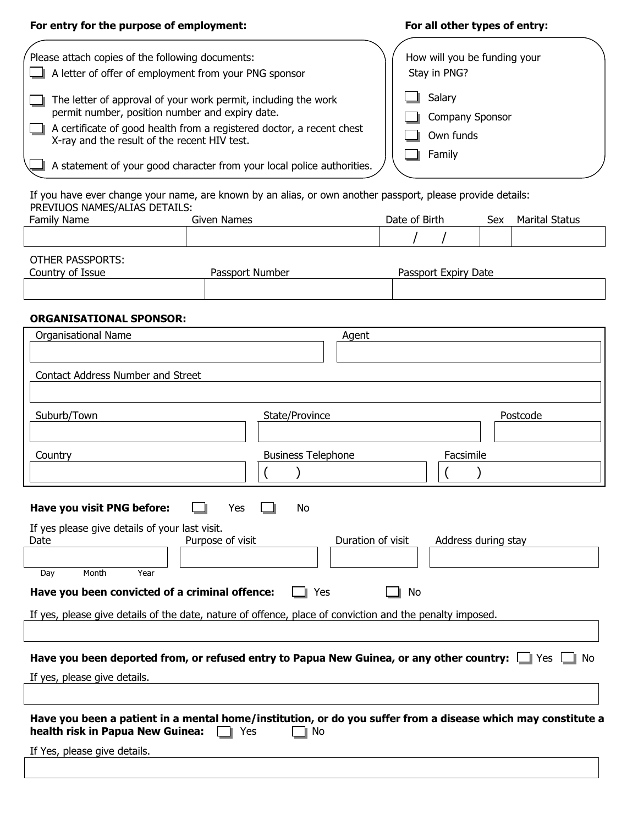# For entry for the purpose of employment: **For all other types of entry:**

| Please attach copies of the following documents:                                                                      | How will you be funding your |
|-----------------------------------------------------------------------------------------------------------------------|------------------------------|
| A letter of offer of employment from your PNG sponsor                                                                 | Stay in PNG?                 |
| The letter of approval of your work permit, including the work                                                        | Salary                       |
| permit number, position number and expiry date.                                                                       | Company Sponsor              |
| A certificate of good health from a registered doctor, a recent chest<br>X-ray and the result of the recent HIV test. | Own funds                    |
| A statement of your good character from your local police authorities.                                                | Family                       |
|                                                                                                                       |                              |
| If you have over change your name, are known by an alize, or own another naceport, please provide detailer            |                              |

If you have ever change your name, are known by an alias, or own another passport, please provide details: PREVIUOS NAMES/ALIAS DETAILS:

| Family<br>Name | --<br>$\cdots$<br>ames<br>inar.<br>⊶ullu | Birth<br>Date 1<br>Ωt | Sex | $\sim$<br>. aldluu |
|----------------|------------------------------------------|-----------------------|-----|--------------------|
|                |                                          |                       |     |                    |

| OTHER PASSPORTS: |                 |                      |
|------------------|-----------------|----------------------|
| Country of Issue | Passport Number | Passport Expiry Date |
|                  |                 |                      |
|                  |                 |                      |

# **ORGANISATIONAL SPONSOR:**

| <b>Organisational Name</b>                                                                                   | Agent                     |                     |
|--------------------------------------------------------------------------------------------------------------|---------------------------|---------------------|
|                                                                                                              |                           |                     |
|                                                                                                              |                           |                     |
| Contact Address Number and Street                                                                            |                           |                     |
|                                                                                                              |                           |                     |
| Suburb/Town                                                                                                  | State/Province            | Postcode            |
|                                                                                                              |                           |                     |
|                                                                                                              |                           |                     |
| Country                                                                                                      | <b>Business Telephone</b> | Facsimile           |
|                                                                                                              |                           |                     |
|                                                                                                              |                           |                     |
| Have you visit PNG before:<br>Yes                                                                            | No                        |                     |
| If yes please give details of your last visit.                                                               |                           |                     |
| Purpose of visit<br>Date                                                                                     | Duration of visit         | Address during stay |
|                                                                                                              |                           |                     |
| Month<br>Year<br>Day                                                                                         |                           |                     |
| Have you been convicted of a criminal offence:                                                               | No<br>Yes                 |                     |
|                                                                                                              |                           |                     |
| If yes, please give details of the date, nature of offence, place of conviction and the penalty imposed.     |                           |                     |
|                                                                                                              |                           |                     |
| Have you been deported from, or refused entry to Papua New Guinea, or any other country: $\Box$ Yes $\Box$   |                           | No                  |
|                                                                                                              |                           |                     |
| If yes, please give details.                                                                                 |                           |                     |
|                                                                                                              |                           |                     |
| Have you been a patient in a mental home/institution, or do you suffer from a disease which may constitute a |                           |                     |
| health risk in Papua New Guinea:<br>Yes                                                                      | No                        |                     |
| If Yes, please give details.                                                                                 |                           |                     |
|                                                                                                              |                           |                     |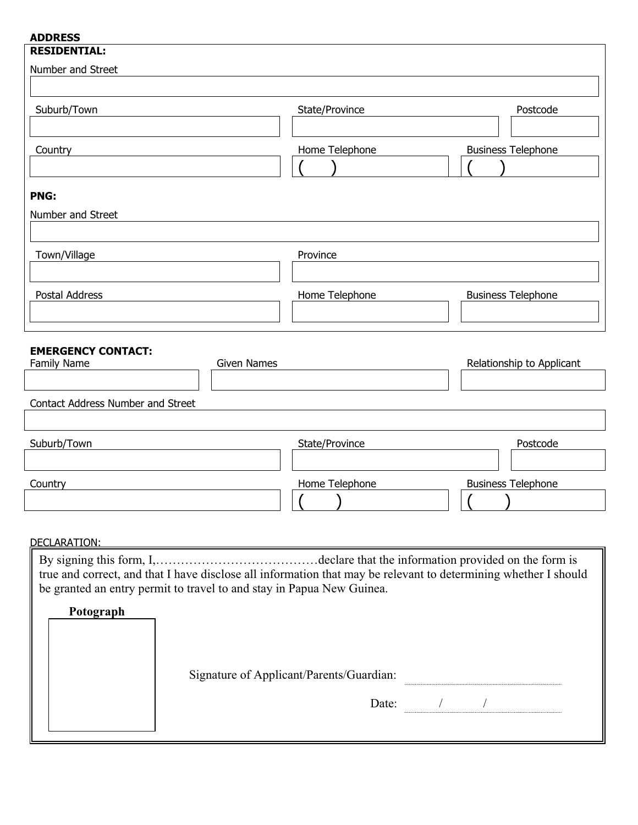| <b>ADDRESS</b>                                                                                                  |                               |                               |
|-----------------------------------------------------------------------------------------------------------------|-------------------------------|-------------------------------|
| <b>RESIDENTIAL:</b>                                                                                             |                               |                               |
| Number and Street                                                                                               |                               |                               |
|                                                                                                                 |                               |                               |
|                                                                                                                 |                               |                               |
| Suburb/Town                                                                                                     | State/Province                | Postcode                      |
|                                                                                                                 |                               |                               |
| Country                                                                                                         | Home Telephone                | <b>Business Telephone</b>     |
|                                                                                                                 |                               |                               |
|                                                                                                                 |                               |                               |
| <b>PNG:</b>                                                                                                     |                               |                               |
| Number and Street                                                                                               |                               |                               |
|                                                                                                                 |                               |                               |
|                                                                                                                 |                               |                               |
| Town/Village                                                                                                    | Province                      |                               |
|                                                                                                                 |                               |                               |
| Postal Address                                                                                                  | Home Telephone                | <b>Business Telephone</b>     |
|                                                                                                                 |                               |                               |
|                                                                                                                 |                               |                               |
|                                                                                                                 |                               |                               |
| <b>EMERGENCY CONTACT:</b><br>Family Name<br><b>Given Names</b>                                                  |                               | Relationship to Applicant     |
|                                                                                                                 |                               |                               |
|                                                                                                                 |                               |                               |
| Contact Address Number and Street                                                                               |                               |                               |
|                                                                                                                 |                               |                               |
| Suburb/Town                                                                                                     | State/Province                | Postcode                      |
|                                                                                                                 |                               |                               |
|                                                                                                                 |                               |                               |
| Country                                                                                                         | Home Telephone                | <b>Business Telephone</b>     |
|                                                                                                                 | $\mathcal{L}$<br>$\mathbf{A}$ | $\mathcal{L}$<br>$\mathbf{v}$ |
|                                                                                                                 |                               |                               |
|                                                                                                                 |                               |                               |
| DECLARATION:                                                                                                    |                               |                               |
|                                                                                                                 |                               |                               |
| true and correct, and that I have disclose all information that may be relevant to determining whether I should |                               |                               |
| be granted an entry permit to travel to and stay in Papua New Guinea.                                           |                               |                               |

| Signature of Applicant/Parents/Guardian: |  |  |
|------------------------------------------|--|--|
|                                          |  |  |